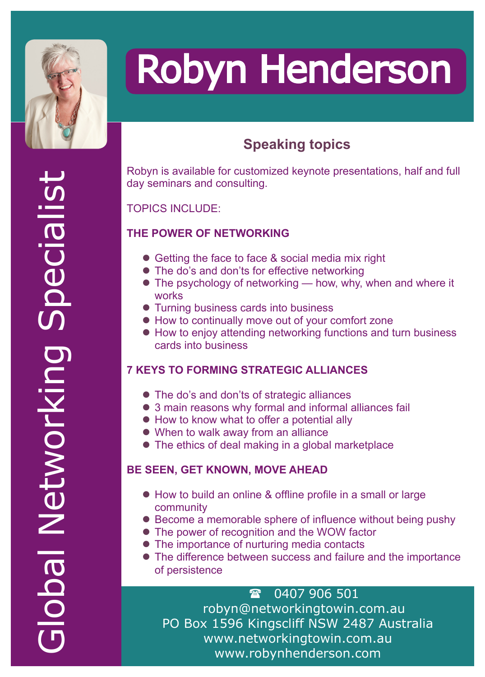

## Robyn Henderson

### **Speaking topics**

Robyn is available for customized keynote presentations, half and full day seminars and consulting.

#### TOPICS INCLUDE:

#### **THE POWER OF NETWORKING**

- Getting the face to face & social media mix right
- The do's and don'ts for effective networking
- $\bullet$  The psychology of networking how, why, when and where it works
- Turning business cards into business
- $\bullet$  How to continually move out of your comfort zone
- How to enjoy attending networking functions and turn business cards into business

#### **7 KEYS TO FORMING STRATEGIC ALLIANCES**

- The do's and don'ts of strategic alliances
- 3 main reasons why formal and informal alliances fail
- $\bullet$  How to know what to offer a potential ally
- $\bullet$  When to walk away from an alliance
- $\bullet$  The ethics of deal making in a global marketplace

#### **BE SEEN, GET KNOWN, MOVE AHEAD**

- How to build an online & offline profile in a small or large community
- Become a memorable sphere of influence without being pushy
- The power of recognition and the WOW factor
- The importance of nurturing media contacts
- The difference between success and failure and the importance of persistence

 0407 906 501 robyn@networkingtowin.com.au PO Box 1596 Kingscliff NSW 2487 Australia www.networkingtowin.com.au www.robynhenderson.com